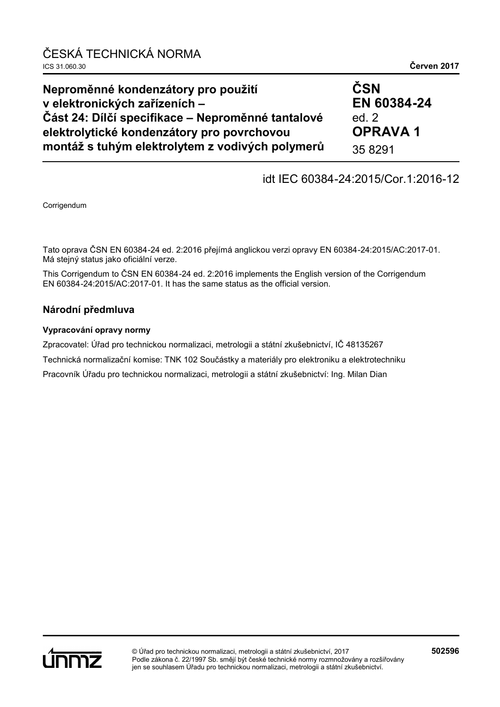| Neproměnné kondenzátory pro použití               | ČSN            |
|---------------------------------------------------|----------------|
| v elektronických zařízeních -                     | EN 60384-24    |
| Část 24: Dílčí specifikace – Neproměnné tantalové | ed. $2$        |
| elektrolytické kondenzátory pro povrchovou        | <b>OPRAVA1</b> |
| montáž s tuhým elektrolytem z vodivých polymerů   | 35 8291        |

# idt IEC 60384-24:2015/Cor.1:2016-12

Corrigendum

Tato oprava ČSN EN 60384-24 ed. 2:2016 přejímá anglickou verzi opravy EN 60384-24:2015/AC:2017-01. Má stejný status jako oficiální verze.

This Corrigendum to ČSN EN 60384-24 ed. 2:2016 implements the English version of the Corrigendum EN 60384-24:2015/AC:2017-01. It has the same status as the official version.

#### **Národní předmluva**

#### **Vypracování opravy normy**

Zpracovatel: Úřad pro technickou normalizaci, metrologii a státní zkušebnictví, IČ 48135267

Technická normalizační komise: TNK 102 Součástky a materiály pro elektroniku a elektrotechniku

Pracovník Úřadu pro technickou normalizaci, metrologii a státní zkušebnictví: Ing. Milan Dian

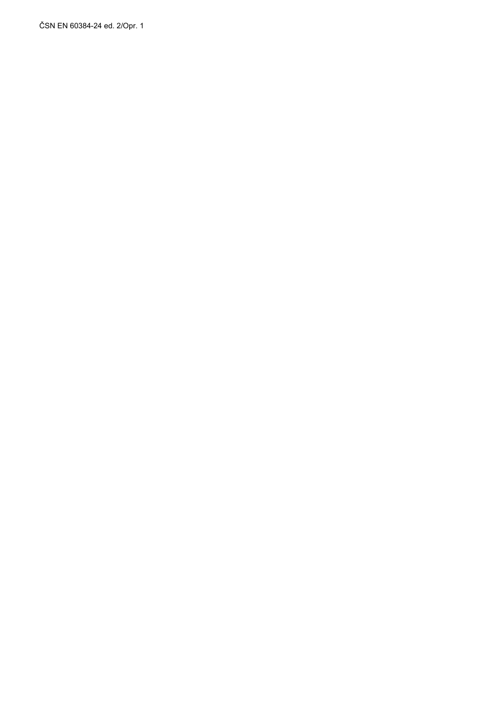ČSN EN 60384-24 ed. 2/Opr. 1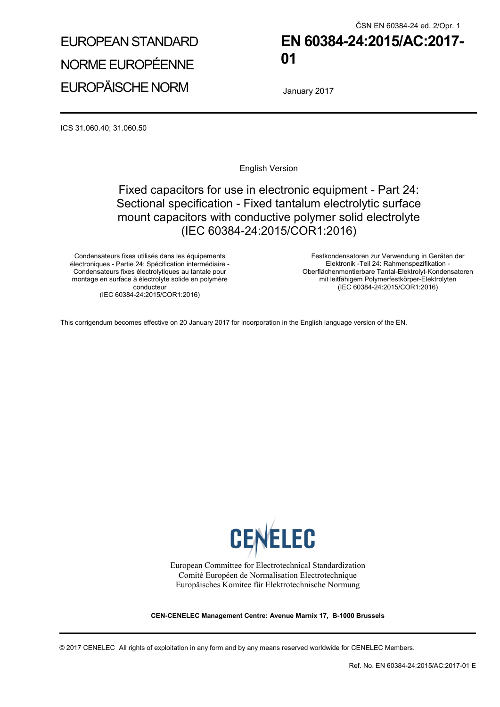# EUROPEAN STANDARD NORME EUROPÉENNE EUROPÄISCHE NORM



January 2017

ICS 31.060.40; 31.060.50

English Version

## Fixed capacitors for use in electronic equipment - Part 24: Sectional specification - Fixed tantalum electrolytic surface mount capacitors with conductive polymer solid electrolyte (IEC 60384-24:2015/COR1:2016)

Condensateurs fixes utilisés dans les équipements électroniques - Partie 24: Spécification intermédiaire - Condensateurs fixes électrolytiques au tantale pour montage en surface à électrolyte solide en polymère conducteur (IEC 60384-24:2015/COR1:2016)

 Festkondensatoren zur Verwendung in Geräten der Elektronik -Teil 24: Rahmenspezifikation - Oberflächenmontierbare Tantal-Elektrolyt-Kondensatoren mit leitfähigem Polymerfestkörper-Elektrolyten (IEC 60384-24:2015/COR1:2016)

This corrigendum becomes effective on 20 January 2017 for incorporation in the English language version of the EN.



European Committee for Electrotechnical Standardization Comité Européen de Normalisation Electrotechnique Europäisches Komitee für Elektrotechnische Normung

**CEN-CENELEC Management Centre: Avenue Marnix 17, B-1000 Brussels** 

© 2017 CENELEC All rights of exploitation in any form and by any means reserved worldwide for CENELEC Members.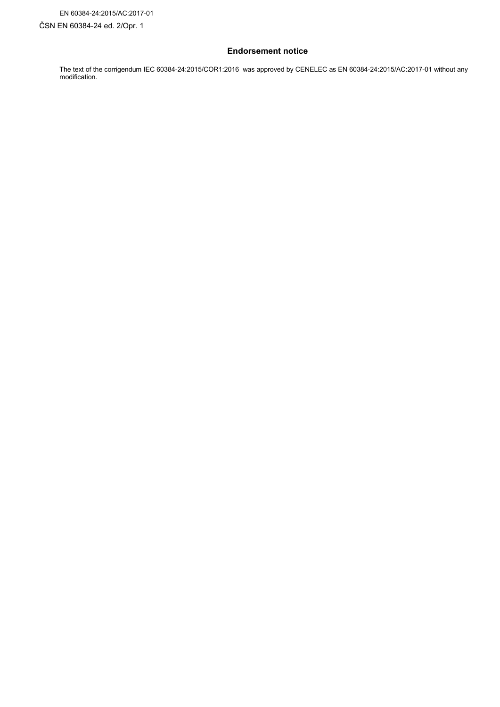EN 60384-24:2015/AC:2017-01

ČSN EN 60384-24 ed. 2/Opr. 1

#### **Endorsement notice**

The text of the corrigendum IEC 60384-24:2015/COR1:2016 was approved by CENELEC as EN 60384-24:2015/AC:2017-01 without any modification.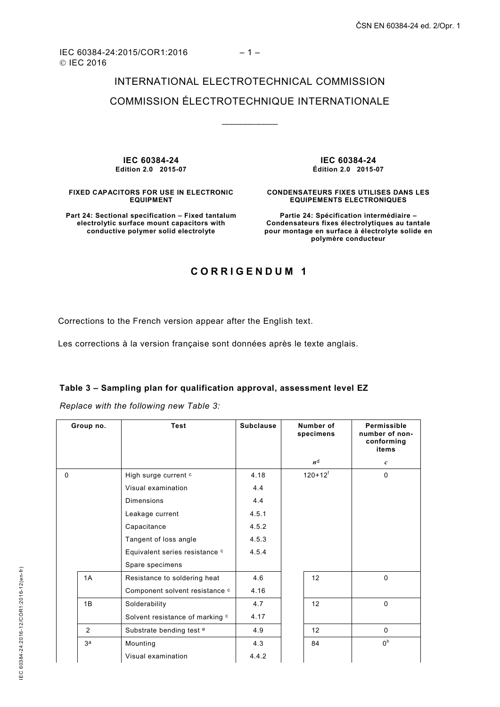IEC 60384-24:2015/COR1:2016 – 1 – © IEC 2016

# INTERNATIONAL ELECTROTECHNICAL COMMISSION COMMISSION ÉLECTROTECHNIQUE INTERNATIONALE

\_\_\_\_\_\_\_\_\_\_\_\_

**IEC 60384-24 Edition 2.0 2015-07**

**FIXED CAPACITORS FOR USE IN ELECTRONIC CONDENSATEURS FIXES UTILISES DANS LES EQUIPMENT**

**Part 24: Sectional specification – Fixed tantalum electrolytic surface mount capacitors with conductive polymer solid electrolyte**

**IEC 60384-24 Édition 2.0 2015-07**

**EQUIPEMENTS ELECTRONIQUES**

**Partie 24: Spécification intermédiaire – Condensateurs fixes électrolytiques au tantale pour montage en surface à électrolyte solide en polymère conducteur**

### **CORRIGENDUM 1**

Corrections to the French version appear after the English text.

Les corrections à la version française sont données après le texte anglais.

#### **Table 3 – Sampling plan for qualification approval, assessment level EZ**

*Replace with the following new Table 3:* 

|   | Group no. | <b>Test</b>                         | <b>Subclause</b> |    | Number of<br>specimens | Permissible<br>number of non-<br>conforming<br>items |
|---|-----------|-------------------------------------|------------------|----|------------------------|------------------------------------------------------|
|   |           |                                     |                  |    | n <sup>d</sup>         | $\mathfrak{c}$                                       |
| 0 |           | High surge current c                | 4.18             |    | $120+12^{f}$           | $\Omega$                                             |
|   |           | Visual examination                  | 4.4              |    |                        |                                                      |
|   |           | <b>Dimensions</b>                   | 4.4              |    |                        |                                                      |
|   |           | Leakage current                     | 4.5.1            |    |                        |                                                      |
|   |           | Capacitance                         | 4.5.2            |    |                        |                                                      |
|   |           | Tangent of loss angle               | 4.5.3            |    |                        |                                                      |
|   |           | Equivalent series resistance c      | 4.5.4            |    |                        |                                                      |
|   |           | Spare specimens                     |                  |    |                        |                                                      |
|   | 1A        | Resistance to soldering heat        | 4.6              | 12 |                        | $\Omega$                                             |
|   |           | Component solvent resistance c      | 4.16             |    |                        |                                                      |
|   | 1B        | Solderability                       | 4.7              |    | 12                     | $\Omega$                                             |
|   |           | Solvent resistance of marking c     | 4.17             |    |                        |                                                      |
|   | 2         | Substrate bending test <sup>e</sup> | 4.9              |    | 12                     | $\Omega$                                             |
|   | 3a        | Mounting                            | 4.3              |    | 84                     | 0 <sup>b</sup>                                       |
|   |           | Visual examination                  | 4.4.2            |    |                        |                                                      |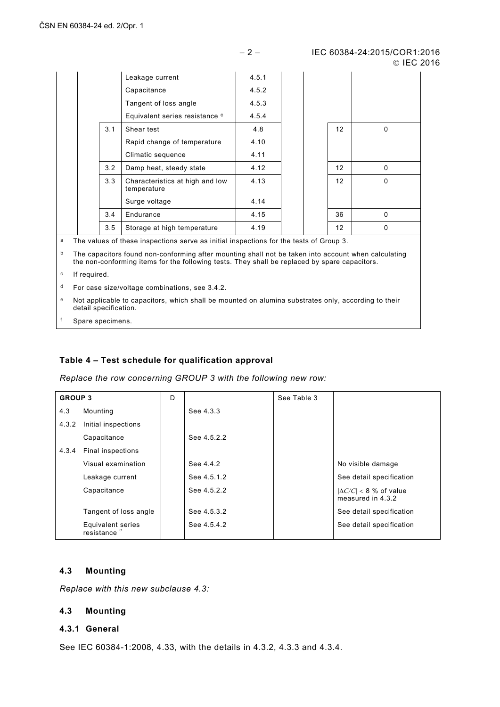#### – 2 – IEC 60384-24:2015/COR1:2016 © IEC 2016

|  |     | Leakage current                                | 4.5.1 |  |    |              |
|--|-----|------------------------------------------------|-------|--|----|--------------|
|  |     | Capacitance                                    | 4.5.2 |  |    |              |
|  |     | Tangent of loss angle                          | 4.5.3 |  |    |              |
|  |     | Equivalent series resistance c                 | 4.5.4 |  |    |              |
|  | 3.1 | Shear test                                     | 4.8   |  | 12 | $\Omega$     |
|  |     | Rapid change of temperature                    | 4.10  |  |    |              |
|  |     | Climatic sequence                              | 4.11  |  |    |              |
|  | 3.2 | Damp heat, steady state                        | 4.12  |  | 12 | $\Omega$     |
|  | 3.3 | Characteristics at high and low<br>temperature | 4.13  |  | 12 | $\Omega$     |
|  |     | Surge voltage                                  | 4.14  |  |    |              |
|  | 3.4 | Endurance                                      | 4.15  |  | 36 | $\mathbf{0}$ |
|  | 3.5 | Storage at high temperature                    | 4.19  |  | 12 | $\Omega$     |
|  |     |                                                |       |  |    |              |

a The values of these inspections serve as initial inspections for the tests of Group 3.

 $b$  The capacitors found non-conforming after mounting shall not be taken into account when calculating the non-conforming items for the following tests. They shall be replaced by spare capacitors.

c If required.

- d For case size/voltage combinations, see 3.4.2.
- e Not applicable to capacitors, which shall be mounted on alumina substrates only, according to their detail specification.
- Spare specimens.

#### **Table 4 – Test schedule for qualification approval**

*Replace the row concerning GROUP 3 with the following new row:*

| <b>GROUP 3</b> |                                              | D |             | See Table 3 |                                                    |
|----------------|----------------------------------------------|---|-------------|-------------|----------------------------------------------------|
| 4.3            | Mounting                                     |   | See 4.3.3   |             |                                                    |
| 4.3.2          | Initial inspections                          |   |             |             |                                                    |
|                | Capacitance                                  |   | See 4.5.2.2 |             |                                                    |
| 4.3.4          | <b>Final inspections</b>                     |   |             |             |                                                    |
|                | Visual examination                           |   | See 4.4.2   |             | No visible damage                                  |
|                | Leakage current                              |   | See 4.5.1.2 |             | See detail specification                           |
|                | Capacitance                                  |   | See 4.5.2.2 |             | $ \Delta C/C $ < 8 % of value<br>measured in 4.3.2 |
|                | Tangent of loss angle                        |   | See 4.5.3.2 |             | See detail specification                           |
|                | Equivalent series<br>resistance <sup>e</sup> |   | See 4.5.4.2 |             | See detail specification                           |

#### **4.3 Mounting**

*Replace with this new subclause 4.3:* 

#### **4.3 Mounting**

#### **4.3.1 General**

See IEC 60384-1:2008, 4.33, with the details in 4.3.2, 4.3.3 and 4.3.4.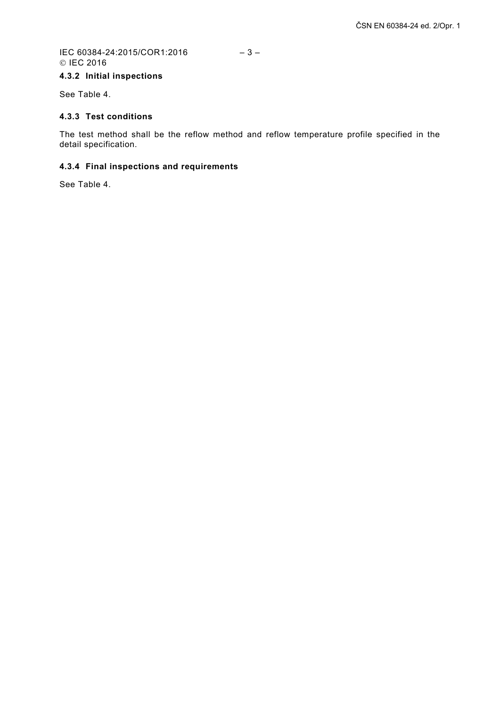#### IEC 60384-24:2015/COR1:2016 – 3 – © IEC 2016

#### **4.3.2 Initial inspections**

See Table 4.

#### **4.3.3 Test conditions**

The test method shall be the reflow method and reflow temperature profile specified in the detail specification.

#### **4.3.4 Final inspections and requirements**

See Table 4.